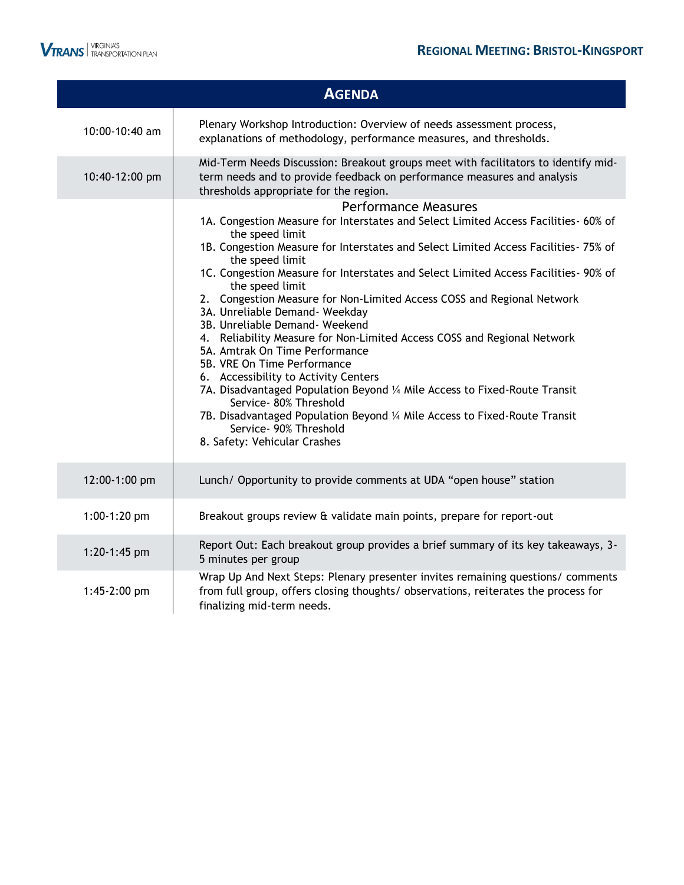

|                              | <b>AGENDA</b>                                                                                                                                                                                                                                                                                                                                                                                                                                                                                                                                                                                                                                                                                                                                                                                                                                                                                                                               |
|------------------------------|---------------------------------------------------------------------------------------------------------------------------------------------------------------------------------------------------------------------------------------------------------------------------------------------------------------------------------------------------------------------------------------------------------------------------------------------------------------------------------------------------------------------------------------------------------------------------------------------------------------------------------------------------------------------------------------------------------------------------------------------------------------------------------------------------------------------------------------------------------------------------------------------------------------------------------------------|
| 10:00-10:40 am               | Plenary Workshop Introduction: Overview of needs assessment process,<br>explanations of methodology, performance measures, and thresholds.                                                                                                                                                                                                                                                                                                                                                                                                                                                                                                                                                                                                                                                                                                                                                                                                  |
| 10:40-12:00 pm               | Mid-Term Needs Discussion: Breakout groups meet with facilitators to identify mid-<br>term needs and to provide feedback on performance measures and analysis<br>thresholds appropriate for the region.                                                                                                                                                                                                                                                                                                                                                                                                                                                                                                                                                                                                                                                                                                                                     |
|                              | <b>Performance Measures</b><br>1A. Congestion Measure for Interstates and Select Limited Access Facilities- 60% of<br>the speed limit<br>1B. Congestion Measure for Interstates and Select Limited Access Facilities- 75% of<br>the speed limit<br>1C. Congestion Measure for Interstates and Select Limited Access Facilities- 90% of<br>the speed limit<br>2. Congestion Measure for Non-Limited Access COSS and Regional Network<br>3A. Unreliable Demand- Weekday<br>3B. Unreliable Demand- Weekend<br>4. Reliability Measure for Non-Limited Access COSS and Regional Network<br>5A. Amtrak On Time Performance<br>5B. VRE On Time Performance<br>6. Accessibility to Activity Centers<br>7A. Disadvantaged Population Beyond 1/4 Mile Access to Fixed-Route Transit<br>Service- 80% Threshold<br>7B. Disadvantaged Population Beyond 1/4 Mile Access to Fixed-Route Transit<br>Service- 90% Threshold<br>8. Safety: Vehicular Crashes |
| 12:00-1:00 pm                | Lunch/ Opportunity to provide comments at UDA "open house" station                                                                                                                                                                                                                                                                                                                                                                                                                                                                                                                                                                                                                                                                                                                                                                                                                                                                          |
| 1:00-1:20 pm                 | Breakout groups review & validate main points, prepare for report-out                                                                                                                                                                                                                                                                                                                                                                                                                                                                                                                                                                                                                                                                                                                                                                                                                                                                       |
| 1:20-1:45 pm<br>1:45-2:00 pm | Report Out: Each breakout group provides a brief summary of its key takeaways, 3-<br>5 minutes per group<br>Wrap Up And Next Steps: Plenary presenter invites remaining questions/ comments<br>from full group, offers closing thoughts/ observations, reiterates the process for                                                                                                                                                                                                                                                                                                                                                                                                                                                                                                                                                                                                                                                           |
|                              | finalizing mid-term needs.                                                                                                                                                                                                                                                                                                                                                                                                                                                                                                                                                                                                                                                                                                                                                                                                                                                                                                                  |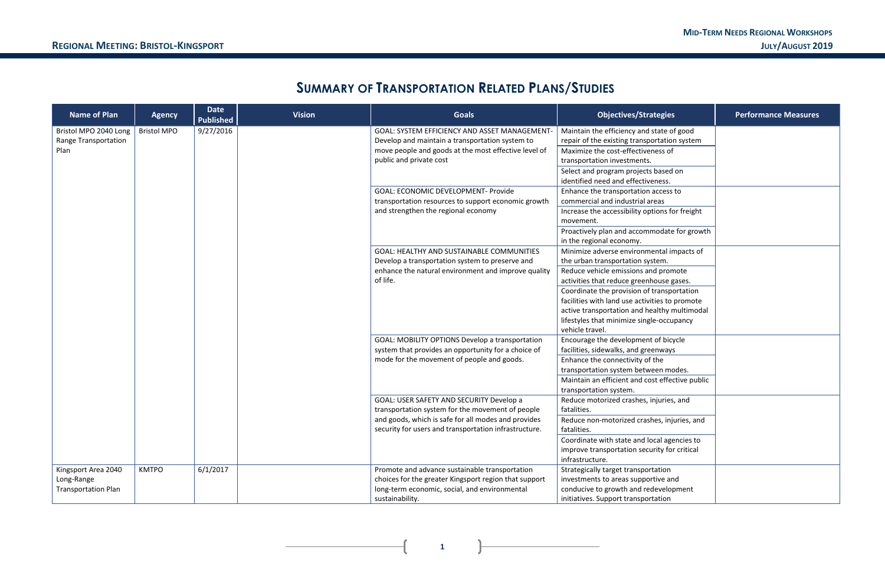### **MID-TERM NEEDS REGIONAL WORKSHOPS REGIONAL MEETING: BRISTOL-KINGSPORT JULY/AUGUST 2019**

# **SUMMARY OF TRANSPORTATION RELATED PLANS/STUDIES**

| <b>Name of Plan</b>         | <b>Agency</b>      | <b>Date</b><br><b>Published</b> | <b>Vision</b> | <b>Goals</b>                                           | <b>Objectives/Strategies</b>                    | <b>Performance Measures</b> |
|-----------------------------|--------------------|---------------------------------|---------------|--------------------------------------------------------|-------------------------------------------------|-----------------------------|
| Bristol MPO 2040 Long       | <b>Bristol MPO</b> | 9/27/2016                       |               | GOAL: SYSTEM EFFICIENCY AND ASSET MANAGEMENT-          | Maintain the efficiency and state of good       |                             |
| <b>Range Transportation</b> |                    |                                 |               | Develop and maintain a transportation system to        | repair of the existing transportation system    |                             |
| Plan                        |                    |                                 |               | move people and goods at the most effective level of   | Maximize the cost-effectiveness of              |                             |
|                             |                    |                                 |               | public and private cost                                | transportation investments.                     |                             |
|                             |                    |                                 |               |                                                        | Select and program projects based on            |                             |
|                             |                    |                                 |               |                                                        | identified need and effectiveness.              |                             |
|                             |                    |                                 |               | <b>GOAL: ECONOMIC DEVELOPMENT- Provide</b>             | Enhance the transportation access to            |                             |
|                             |                    |                                 |               | transportation resources to support economic growth    | commercial and industrial areas                 |                             |
|                             |                    |                                 |               | and strengthen the regional economy                    | Increase the accessibility options for freight  |                             |
|                             |                    |                                 |               |                                                        | movement.                                       |                             |
|                             |                    |                                 |               |                                                        | Proactively plan and accommodate for growth     |                             |
|                             |                    |                                 |               |                                                        | in the regional economy.                        |                             |
|                             |                    |                                 |               | GOAL: HEALTHY AND SUSTAINABLE COMMUNITIES              | Minimize adverse environmental impacts of       |                             |
|                             |                    |                                 |               | Develop a transportation system to preserve and        | the urban transportation system.                |                             |
|                             |                    |                                 |               | enhance the natural environment and improve quality    | Reduce vehicle emissions and promote            |                             |
|                             |                    |                                 |               | of life.                                               | activities that reduce greenhouse gases.        |                             |
|                             |                    |                                 |               |                                                        | Coordinate the provision of transportation      |                             |
|                             |                    |                                 |               |                                                        | facilities with land use activities to promote  |                             |
|                             |                    |                                 |               |                                                        | active transportation and healthy multimodal    |                             |
|                             |                    |                                 |               |                                                        | lifestyles that minimize single-occupancy       |                             |
|                             |                    |                                 |               |                                                        | vehicle travel.                                 |                             |
|                             |                    |                                 |               | <b>GOAL: MOBILITY OPTIONS Develop a transportation</b> | Encourage the development of bicycle            |                             |
|                             |                    |                                 |               | system that provides an opportunity for a choice of    | facilities, sidewalks, and greenways            |                             |
|                             |                    |                                 |               | mode for the movement of people and goods.             | Enhance the connectivity of the                 |                             |
|                             |                    |                                 |               |                                                        | transportation system between modes.            |                             |
|                             |                    |                                 |               |                                                        | Maintain an efficient and cost effective public |                             |
|                             |                    |                                 |               |                                                        | transportation system.                          |                             |
|                             |                    |                                 |               | GOAL: USER SAFETY AND SECURITY Develop a               | Reduce motorized crashes, injuries, and         |                             |
|                             |                    |                                 |               | transportation system for the movement of people       | fatalities.                                     |                             |
|                             |                    |                                 |               | and goods, which is safe for all modes and provides    | Reduce non-motorized crashes, injuries, and     |                             |
|                             |                    |                                 |               | security for users and transportation infrastructure.  | fatalities.                                     |                             |
|                             |                    |                                 |               |                                                        | Coordinate with state and local agencies to     |                             |
|                             |                    |                                 |               |                                                        | improve transportation security for critical    |                             |
|                             |                    |                                 |               |                                                        | infrastructure.                                 |                             |
| Kingsport Area 2040         | <b>KMTPO</b>       | 6/1/2017                        |               | Promote and advance sustainable transportation         | Strategically target transportation             |                             |
| Long-Range                  |                    |                                 |               | choices for the greater Kingsport region that support  | investments to areas supportive and             |                             |
| <b>Transportation Plan</b>  |                    |                                 |               | long-term economic, social, and environmental          | conducive to growth and redevelopment           |                             |
|                             |                    |                                 |               | sustainability.                                        | initiatives. Support transportation             |                             |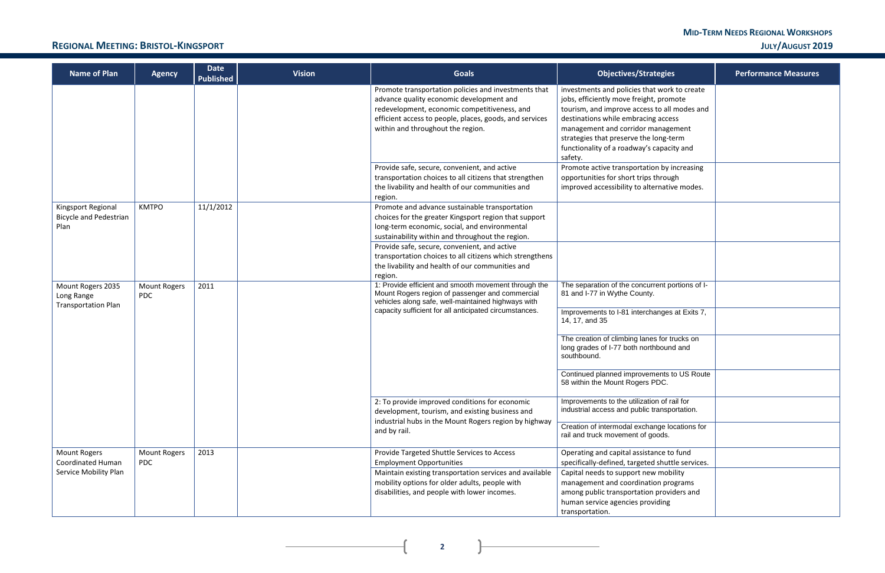# **MID-TERM NEEDS REGIONAL WORKSHOPS**

| ategies                                                                                                      | <b>Performance Measures</b> |
|--------------------------------------------------------------------------------------------------------------|-----------------------------|
| at work to create<br>t, promote<br>s to all modes and<br>g access<br>nanagement<br>long-term<br>capacity and |                             |
| on by increasing<br>through<br>ernative modes.                                                               |                             |
|                                                                                                              |                             |
|                                                                                                              |                             |
| rrent portions of I-<br>Ι.                                                                                   |                             |
| anges at Exits 7,                                                                                            |                             |
| es for trucks on<br>hbound and                                                                               |                             |
| ments to US Route<br>PDC.                                                                                    |                             |
| on of rail for<br>transportation.                                                                            |                             |
| ange locations for<br>joods.                                                                                 |                             |
| ance to fund<br>d shuttle services.                                                                          |                             |
| w mobility<br>ion programs<br>n providers and<br>viding                                                      |                             |

### **REGIONAL MEETING: BRISTOL-KINGSPORT JULY/AUGUST 2019**

**2**

 $\overline{+}$ 

| <b>Name of Plan</b>                                           | <b>Agency</b>                     | <b>Date</b><br><b>Published</b> | <b>Vision</b> | <b>Goals</b>                                                                                                                                                                                                                                                                                                             | <b>Objectives/Strategies</b>                                                                                                                                                                                                                                                                                           | <b>Performance Measures</b> |  |  |  |  |  |  |  |  |  |  |  |  |                                                                               |
|---------------------------------------------------------------|-----------------------------------|---------------------------------|---------------|--------------------------------------------------------------------------------------------------------------------------------------------------------------------------------------------------------------------------------------------------------------------------------------------------------------------------|------------------------------------------------------------------------------------------------------------------------------------------------------------------------------------------------------------------------------------------------------------------------------------------------------------------------|-----------------------------|--|--|--|--|--|--|--|--|--|--|--|--|-------------------------------------------------------------------------------|
|                                                               |                                   |                                 |               | Promote transportation policies and investments that<br>advance quality economic development and<br>redevelopment, economic competitiveness, and<br>efficient access to people, places, goods, and services<br>within and throughout the region.                                                                         | investments and policies that work to create<br>jobs, efficiently move freight, promote<br>tourism, and improve access to all modes and<br>destinations while embracing access<br>management and corridor management<br>strategies that preserve the long-term<br>functionality of a roadway's capacity and<br>safety. |                             |  |  |  |  |  |  |  |  |  |  |  |  |                                                                               |
|                                                               |                                   |                                 |               | Provide safe, secure, convenient, and active<br>transportation choices to all citizens that strengthen<br>the livability and health of our communities and<br>region.                                                                                                                                                    | Promote active transportation by increasing<br>opportunities for short trips through<br>improved accessibility to alternative modes.                                                                                                                                                                                   |                             |  |  |  |  |  |  |  |  |  |  |  |  |                                                                               |
| Kingsport Regional<br><b>Bicycle and Pedestrian</b><br>Plan   | <b>KMTPO</b>                      | 11/1/2012                       |               | Promote and advance sustainable transportation<br>choices for the greater Kingsport region that support<br>long-term economic, social, and environmental<br>sustainability within and throughout the region.<br>Provide safe, secure, convenient, and active<br>transportation choices to all citizens which strengthens |                                                                                                                                                                                                                                                                                                                        |                             |  |  |  |  |  |  |  |  |  |  |  |  |                                                                               |
|                                                               |                                   |                                 |               | the livability and health of our communities and<br>region.                                                                                                                                                                                                                                                              |                                                                                                                                                                                                                                                                                                                        |                             |  |  |  |  |  |  |  |  |  |  |  |  |                                                                               |
| Mount Rogers 2035<br>Long Range<br><b>Transportation Plan</b> | <b>Mount Rogers</b><br><b>PDC</b> | 2011                            |               | 1: Provide efficient and smooth movement through the<br>Mount Rogers region of passenger and commercial<br>vehicles along safe, well-maintained highways with<br>capacity sufficient for all anticipated circumstances.                                                                                                  | The separation of the concurrent portions of I-<br>81 and I-77 in Wythe County.<br>Improvements to I-81 interchanges at Exits 7,<br>14, 17, and 35                                                                                                                                                                     |                             |  |  |  |  |  |  |  |  |  |  |  |  |                                                                               |
|                                                               |                                   |                                 |               |                                                                                                                                                                                                                                                                                                                          | The creation of climbing lanes for trucks on<br>long grades of I-77 both northbound and<br>southbound.                                                                                                                                                                                                                 |                             |  |  |  |  |  |  |  |  |  |  |  |  |                                                                               |
|                                                               |                                   |                                 |               |                                                                                                                                                                                                                                                                                                                          |                                                                                                                                                                                                                                                                                                                        |                             |  |  |  |  |  |  |  |  |  |  |  |  | Continued planned improvements to US Route<br>58 within the Mount Rogers PDC. |
|                                                               |                                   |                                 |               | 2: To provide improved conditions for economic<br>development, tourism, and existing business and                                                                                                                                                                                                                        | Improvements to the utilization of rail for<br>industrial access and public transportation.                                                                                                                                                                                                                            |                             |  |  |  |  |  |  |  |  |  |  |  |  |                                                                               |
|                                                               |                                   |                                 |               | industrial hubs in the Mount Rogers region by highway<br>and by rail.                                                                                                                                                                                                                                                    | Creation of intermodal exchange locations for<br>rail and truck movement of goods.                                                                                                                                                                                                                                     |                             |  |  |  |  |  |  |  |  |  |  |  |  |                                                                               |
| <b>Mount Rogers</b><br>Coordinated Human                      | <b>Mount Rogers</b><br><b>PDC</b> | 2013                            |               | Provide Targeted Shuttle Services to Access<br><b>Employment Opportunities</b>                                                                                                                                                                                                                                           | Operating and capital assistance to fund<br>specifically-defined, targeted shuttle services.                                                                                                                                                                                                                           |                             |  |  |  |  |  |  |  |  |  |  |  |  |                                                                               |
| Service Mobility Plan                                         |                                   |                                 |               | Maintain existing transportation services and available<br>mobility options for older adults, people with<br>disabilities, and people with lower incomes.                                                                                                                                                                | Capital needs to support new mobility<br>management and coordination programs<br>among public transportation providers and<br>human service agencies providing<br>transportation.                                                                                                                                      |                             |  |  |  |  |  |  |  |  |  |  |  |  |                                                                               |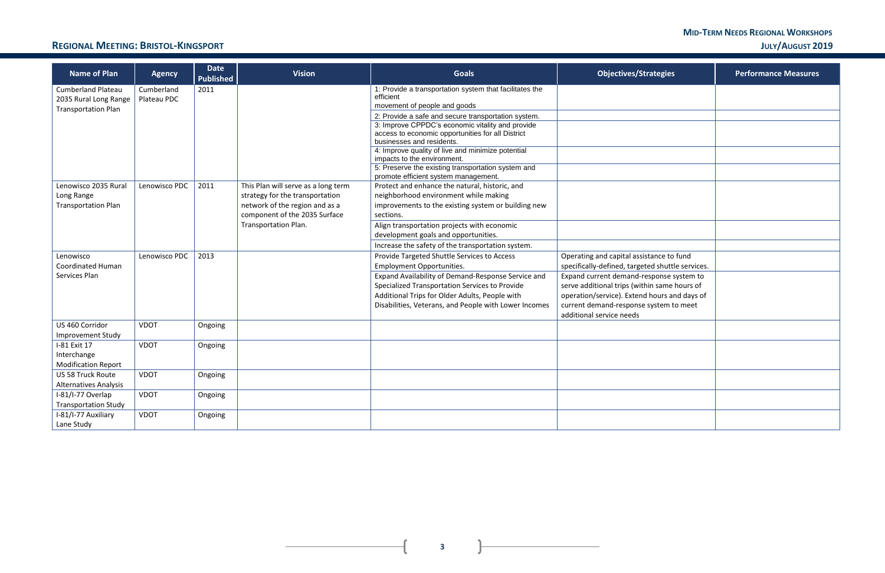### **MID-TERM NEEDS REGIONAL WORKSHOPS REGIONAL MEETING: BRISTOL-KINGSPORT JULY/AUGUST 2019**

**3**

 $\mathbf{R}$ 

 $\overline{+}$ 

| <b>Name of Plan</b>                                    | <b>Agency</b> | <b>Date</b><br><b>Published</b> | <b>Vision</b>                                         | <b>Goals</b>                                                                                            | <b>Objectives/Strategies</b>                                                           | <b>Performance Measures</b> |
|--------------------------------------------------------|---------------|---------------------------------|-------------------------------------------------------|---------------------------------------------------------------------------------------------------------|----------------------------------------------------------------------------------------|-----------------------------|
| <b>Cumberland Plateau</b>                              | Cumberland    | 2011                            |                                                       | 1: Provide a transportation system that facilitates the<br>efficient                                    |                                                                                        |                             |
| 2035 Rural Long Range                                  | Plateau PDC   |                                 |                                                       | movement of people and goods                                                                            |                                                                                        |                             |
| <b>Transportation Plan</b>                             |               |                                 |                                                       | 2: Provide a safe and secure transportation system.                                                     |                                                                                        |                             |
|                                                        |               |                                 |                                                       | 3: Improve CPPDC's economic vitality and provide                                                        |                                                                                        |                             |
|                                                        |               |                                 |                                                       | access to economic opportunities for all District<br>businesses and residents.                          |                                                                                        |                             |
|                                                        |               |                                 |                                                       | 4: Improve quality of live and minimize potential                                                       |                                                                                        |                             |
|                                                        |               |                                 |                                                       | impacts to the environment.                                                                             |                                                                                        |                             |
|                                                        |               |                                 |                                                       | 5: Preserve the existing transportation system and<br>promote efficient system management.              |                                                                                        |                             |
| Lenowisco 2035 Rural                                   | Lenowisco PDC | 2011                            | This Plan will serve as a long term                   | Protect and enhance the natural, historic, and                                                          |                                                                                        |                             |
| Long Range                                             |               |                                 | strategy for the transportation                       | neighborhood environment while making                                                                   |                                                                                        |                             |
| <b>Transportation Plan</b>                             |               |                                 | network of the region and as a                        | improvements to the existing system or building new                                                     |                                                                                        |                             |
|                                                        |               |                                 | component of the 2035 Surface<br>Transportation Plan. | sections.<br>Align transportation projects with economic                                                |                                                                                        |                             |
|                                                        |               |                                 |                                                       | development goals and opportunities.                                                                    |                                                                                        |                             |
|                                                        |               |                                 |                                                       | Increase the safety of the transportation system.                                                       |                                                                                        |                             |
| Lenowisco                                              | Lenowisco PDC | 2013                            |                                                       | Provide Targeted Shuttle Services to Access                                                             | Operating and capital assistance to fund                                               |                             |
| <b>Coordinated Human</b>                               |               |                                 |                                                       | <b>Employment Opportunities.</b>                                                                        | specifically-defined, targeted shuttle services.                                       |                             |
| Services Plan                                          |               |                                 |                                                       | Expand Availability of Demand-Response Service and                                                      | Expand current demand-response system to                                               |                             |
|                                                        |               |                                 |                                                       | Specialized Transportation Services to Provide                                                          | serve additional trips (within same hours of                                           |                             |
|                                                        |               |                                 |                                                       | Additional Trips for Older Adults, People with<br>Disabilities, Veterans, and People with Lower Incomes | operation/service). Extend hours and days of<br>current demand-response system to meet |                             |
|                                                        |               |                                 |                                                       |                                                                                                         | additional service needs                                                               |                             |
| US 460 Corridor                                        | <b>VDOT</b>   | Ongoing                         |                                                       |                                                                                                         |                                                                                        |                             |
| <b>Improvement Study</b>                               |               |                                 |                                                       |                                                                                                         |                                                                                        |                             |
| I-81 Exit 17                                           | <b>VDOT</b>   | Ongoing                         |                                                       |                                                                                                         |                                                                                        |                             |
| Interchange                                            |               |                                 |                                                       |                                                                                                         |                                                                                        |                             |
| <b>Modification Report</b><br><b>US 58 Truck Route</b> | <b>VDOT</b>   | Ongoing                         |                                                       |                                                                                                         |                                                                                        |                             |
| <b>Alternatives Analysis</b>                           |               |                                 |                                                       |                                                                                                         |                                                                                        |                             |
| I-81/I-77 Overlap                                      | <b>VDOT</b>   | Ongoing                         |                                                       |                                                                                                         |                                                                                        |                             |
| <b>Transportation Study</b>                            |               |                                 |                                                       |                                                                                                         |                                                                                        |                             |
| I-81/I-77 Auxiliary                                    | <b>VDOT</b>   | Ongoing                         |                                                       |                                                                                                         |                                                                                        |                             |
| Lane Study                                             |               |                                 |                                                       |                                                                                                         |                                                                                        |                             |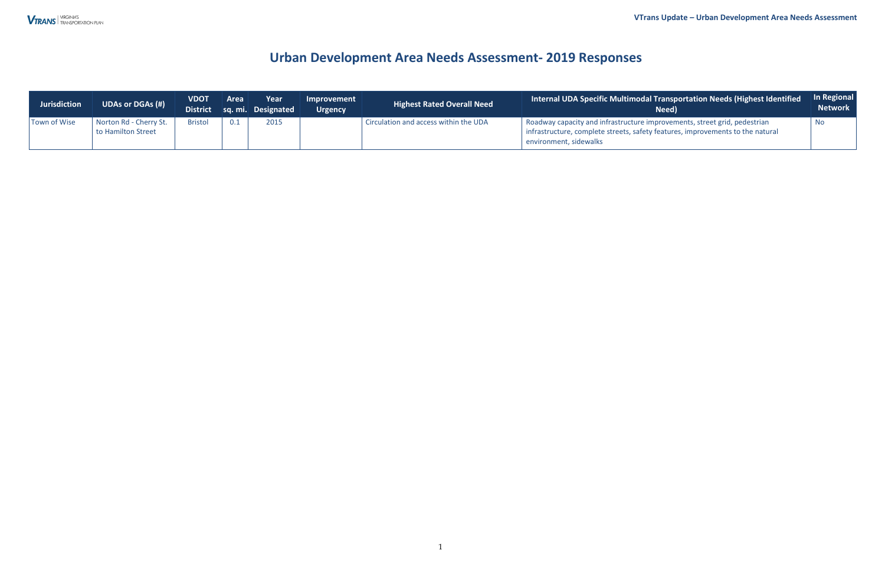### **VTrans Update** *–* **Urban Development Area Needs Assessment**

| <b>Jurisdiction</b> | <b>UDAs or DGAs (#)</b>                      | <b>VDOT</b>    | <b>Area</b> | Year<br>District sq. mi. Designated | Improvement<br><b>Urgency</b> | <b>Highest Rated Overall Need</b>     | <b>Internal UDA Specific Multimodal Transportation Needs (Highest Identified <sup>1</sup></b><br>Need)                                                                                | In Regional<br><b>Network</b> |
|---------------------|----------------------------------------------|----------------|-------------|-------------------------------------|-------------------------------|---------------------------------------|---------------------------------------------------------------------------------------------------------------------------------------------------------------------------------------|-------------------------------|
| Town of Wise        | Norton Rd - Cherry St.<br>to Hamilton Street | <b>Bristol</b> | 0.1         | 2015                                |                               | Circulation and access within the UDA | Roadway capacity and infrastructure improvements, street grid, pedestrian<br>infrastructure, complete streets, safety features, improvements to the natural<br>environment, sidewalks | <b>NO</b>                     |